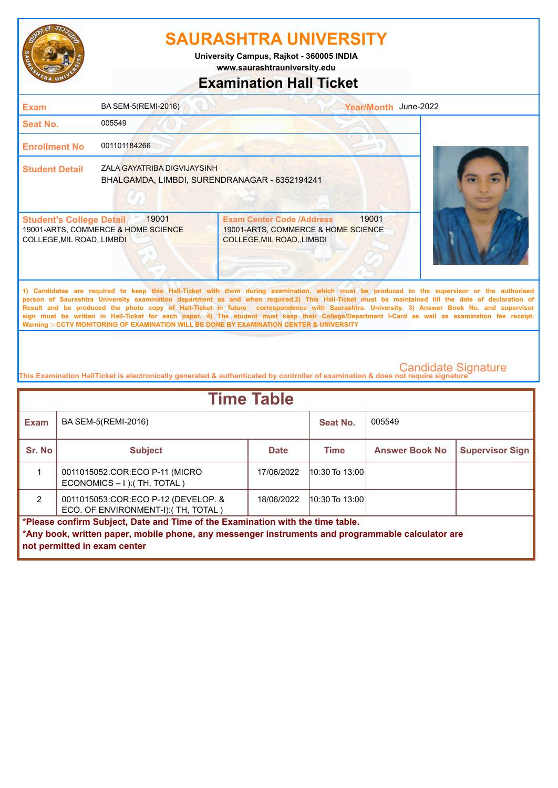

**www.saurashtrauniversity.edu University Campus, Rajkot - 360005 INDIA**

# **Examination Hall Ticket**

| <b>Exam</b>                                                    | BA SEM-5(REMI-2016)                                                          |                                                                                                                                                                                                                                                                                                                                                                                                                                                                                                                                                                                                                                                                                                     | Year/Month June-2022 |  |
|----------------------------------------------------------------|------------------------------------------------------------------------------|-----------------------------------------------------------------------------------------------------------------------------------------------------------------------------------------------------------------------------------------------------------------------------------------------------------------------------------------------------------------------------------------------------------------------------------------------------------------------------------------------------------------------------------------------------------------------------------------------------------------------------------------------------------------------------------------------------|----------------------|--|
| Seat No.                                                       | 005549                                                                       |                                                                                                                                                                                                                                                                                                                                                                                                                                                                                                                                                                                                                                                                                                     |                      |  |
| <b>Enrollment No</b>                                           | 001101184266                                                                 |                                                                                                                                                                                                                                                                                                                                                                                                                                                                                                                                                                                                                                                                                                     |                      |  |
| <b>Student Detail</b>                                          | ZALA GAYATRIBA DIGVIJAYSINH<br>BHALGAMDA, LIMBDI, SURENDRANAGAR - 6352194241 |                                                                                                                                                                                                                                                                                                                                                                                                                                                                                                                                                                                                                                                                                                     |                      |  |
| <b>Student's College Detail</b><br>COLLEGE, MIL ROAD, , LIMBDI | 19001<br>19001-ARTS, COMMERCE & HOME SCIENCE                                 | <b>Exam Center Code /Address</b><br>19001-ARTS, COMMERCE & HOME SCIENCE<br><b>COLLEGE, MIL ROAD, LIMBDI</b>                                                                                                                                                                                                                                                                                                                                                                                                                                                                                                                                                                                         | 19001                |  |
|                                                                |                                                                              | 1) Candidates are required to keep this Hall-Ticket with them during examination, which must be produced to the supervisor or the authorised<br>person of Saurashtra University examination department as and when required.2) This Hall-Ticket must be maintained till the date of declaration of<br>Result and be produced the photo copy of Hall-Ticket in future correspondence with Saurashtra. University. 3) Answer Book No. and supervisor<br>sign must be written in Hall-Ticket for each paper. 4) The student must keep their College/Department I-Card as well as examination fee receipt.<br>Warning :- CCTV MONITORING OF EXAMINATION WILL BE DONE BY EXAMINATION CENTER & UNIVERSITY |                      |  |

| <b>Time Table</b>                                                              |                                                                                                                                   |             |                  |                       |                        |  |
|--------------------------------------------------------------------------------|-----------------------------------------------------------------------------------------------------------------------------------|-------------|------------------|-----------------------|------------------------|--|
| <b>Exam</b>                                                                    | BA SEM-5(REMI-2016)                                                                                                               |             | Seat No.         | 005549                |                        |  |
| Sr. No                                                                         | <b>Subject</b>                                                                                                                    | <b>Date</b> | <b>Time</b>      | <b>Answer Book No</b> | <b>Supervisor Sign</b> |  |
|                                                                                | 0011015052:COR:ECO P-11 (MICRO<br>ECONOMICS - I ): (TH, TOTAL)                                                                    | 17/06/2022  | $10:30$ To 13:00 |                       |                        |  |
| $\mathcal{P}$                                                                  | 0011015053: COR: ECO P-12 (DEVELOP. &<br>ECO. OF ENVIRONMENT-I): (TH, TOTAL)                                                      | 18/06/2022  | $10:30$ To 13:00 |                       |                        |  |
| *Please confirm Subject, Date and Time of the Examination with the time table. |                                                                                                                                   |             |                  |                       |                        |  |
|                                                                                | *Any book, written paper, mobile phone, any messenger instruments and programmable calculator are<br>not permitted in exam center |             |                  |                       |                        |  |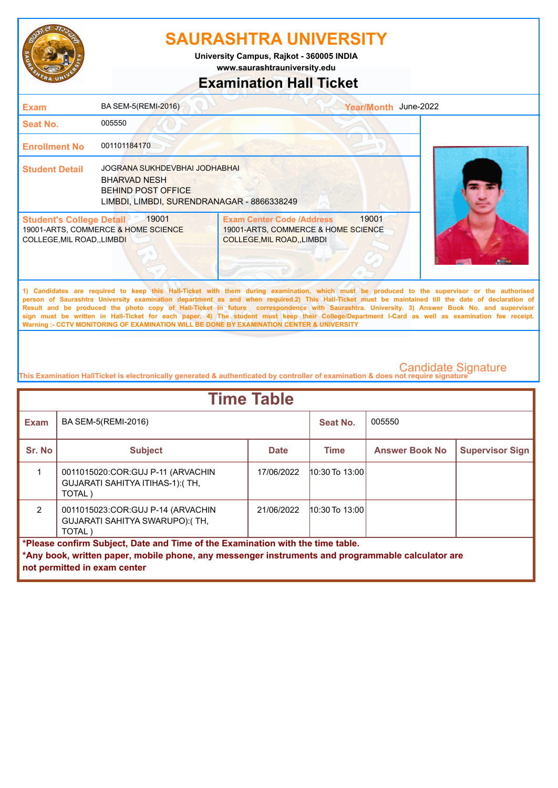

**University Campus, Rajkot - 360005 INDIA**

**www.saurashtrauniversity.edu**

### **Examination Hall Ticket**

| <b>Exam</b>                                                          | BA SEM-5(REMI-2016)                                                                                                             |                                                                                                                                                                                                                                                                                                                                                                                                                                                                                                                                                                                                        | Year/Month June-2022 |  |
|----------------------------------------------------------------------|---------------------------------------------------------------------------------------------------------------------------------|--------------------------------------------------------------------------------------------------------------------------------------------------------------------------------------------------------------------------------------------------------------------------------------------------------------------------------------------------------------------------------------------------------------------------------------------------------------------------------------------------------------------------------------------------------------------------------------------------------|----------------------|--|
| Seat No.                                                             | 005550                                                                                                                          |                                                                                                                                                                                                                                                                                                                                                                                                                                                                                                                                                                                                        |                      |  |
| <b>Enrollment No</b>                                                 | 001101184170                                                                                                                    |                                                                                                                                                                                                                                                                                                                                                                                                                                                                                                                                                                                                        |                      |  |
| <b>Student Detail</b>                                                | JOGRANA SUKHDEVBHAI JODHABHAI<br><b>BHARVAD NESH</b><br><b>BEHIND POST OFFICE</b><br>LIMBDI, LIMBDI, SURENDRANAGAR - 8866338249 |                                                                                                                                                                                                                                                                                                                                                                                                                                                                                                                                                                                                        |                      |  |
| <b>Student's College Detail</b><br><b>COLLEGE, MIL ROAD,, LIMBDI</b> | 19001<br>19001-ARTS, COMMERCE & HOME SCIENCE                                                                                    | <b>Exam Center Code /Address</b><br>19001-ARTS, COMMERCE & HOME SCIENCE<br><b>COLLEGE, MIL ROAD, LIMBDI</b>                                                                                                                                                                                                                                                                                                                                                                                                                                                                                            | 19001                |  |
|                                                                      |                                                                                                                                 | 1) Candidates are required to keep this Hall-Ticket with them during examination, which must be produced to the supervisor or the authorised<br>person of Saurashtra University examination department as and when required.2) This Hall-Ticket must be maintained till the date of declaration of<br>Result and be produced the photo copy of Hall-Ticket in future correspondence with Saurashtra. University. 3) Answer Book No. and supervisor<br>sign must be written in Hall-Ticket for each paper. 4) The student must keep their College/Department I-Card as well as examination fee receipt. |                      |  |

**This Examination HallTicket is electronically generated & authenticated by controller of examination & does not require signature** 

**Warning :- CCTV MONITORING OF EXAMINATION WILL BE DONE BY EXAMINATION CENTER & UNIVERSITY**

| <b>Time Table</b>                                                              |                                                                                                   |             |                    |                       |                        |  |
|--------------------------------------------------------------------------------|---------------------------------------------------------------------------------------------------|-------------|--------------------|-----------------------|------------------------|--|
| <b>Exam</b>                                                                    | BA SEM-5(REMI-2016)                                                                               |             | Seat No.           | 005550                |                        |  |
| Sr. No                                                                         | <b>Subject</b>                                                                                    | <b>Date</b> | Time               | <b>Answer Book No</b> | <b>Supervisor Sign</b> |  |
|                                                                                | 0011015020:COR:GUJ P-11 (ARVACHIN<br>GUJARATI SAHITYA ITIHAS-1): (TH,<br>TOTAL)                   | 17/06/2022  | $10:30$ To $13:00$ |                       |                        |  |
| $\mathcal{P}$                                                                  | 0011015023: COR: GUJ P-14 (ARVACHIN<br>GUJARATI SAHITYA SWARUPO): (TH,<br>TOTAL)                  | 21/06/2022  | $10:30$ To $13:00$ |                       |                        |  |
| *Please confirm Subject, Date and Time of the Examination with the time table. |                                                                                                   |             |                    |                       |                        |  |
|                                                                                | *Any book, written paper, mobile phone, any messenger instruments and programmable calculator are |             |                    |                       |                        |  |
|                                                                                | not permitted in exam center                                                                      |             |                    |                       |                        |  |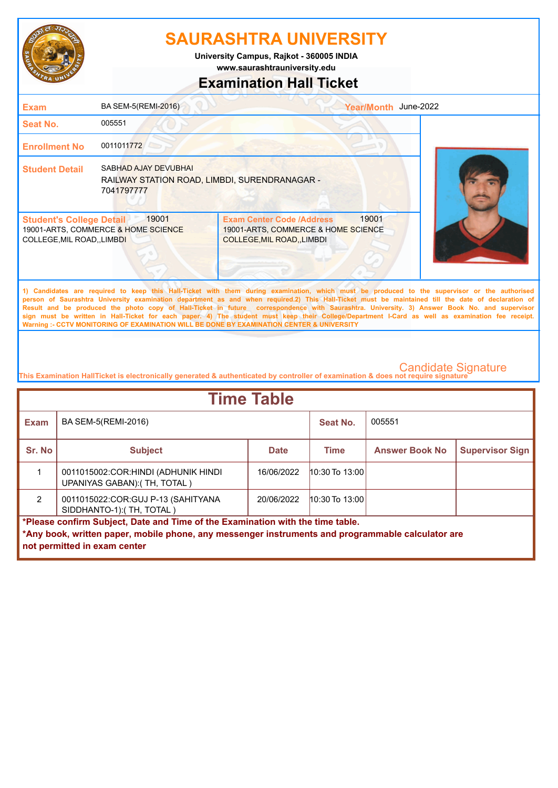

**www.saurashtrauniversity.edu University Campus, Rajkot - 360005 INDIA**

# **Examination Hall Ticket**

| <b>Exam</b>                                                   | BA SEM-5(REMI-2016)                                                                 | Year/Month June-2022                                                                                                                                                                                                                                                                                                                                                                                                                                                                                                                                                                                                                                                                                |  |
|---------------------------------------------------------------|-------------------------------------------------------------------------------------|-----------------------------------------------------------------------------------------------------------------------------------------------------------------------------------------------------------------------------------------------------------------------------------------------------------------------------------------------------------------------------------------------------------------------------------------------------------------------------------------------------------------------------------------------------------------------------------------------------------------------------------------------------------------------------------------------------|--|
| <b>Seat No.</b>                                               | 005551                                                                              |                                                                                                                                                                                                                                                                                                                                                                                                                                                                                                                                                                                                                                                                                                     |  |
| <b>Enrollment No</b>                                          | 0011011772                                                                          |                                                                                                                                                                                                                                                                                                                                                                                                                                                                                                                                                                                                                                                                                                     |  |
| <b>Student Detail</b>                                         | SABHAD AJAY DEVUBHAL<br>RAILWAY STATION ROAD, LIMBDI, SURENDRANAGAR -<br>7041797777 |                                                                                                                                                                                                                                                                                                                                                                                                                                                                                                                                                                                                                                                                                                     |  |
| <b>Student's College Detail</b><br>COLLEGE, MIL ROAD,, LIMBDI | 19001<br>19001-ARTS, COMMERCE & HOME SCIENCE                                        | 19001<br><b>Exam Center Code /Address</b><br>19001-ARTS, COMMERCE & HOME SCIENCE<br>COLLEGE, MIL ROAD, , LIMBDI                                                                                                                                                                                                                                                                                                                                                                                                                                                                                                                                                                                     |  |
|                                                               |                                                                                     | 1) Candidates are required to keep this Hall-Ticket with them during examination, which must be produced to the supervisor or the authorised<br>person of Saurashtra University examination department as and when required.2) This Hall-Ticket must be maintained till the date of declaration of<br>Result and be produced the photo copy of Hall-Ticket in future correspondence with Saurashtra. University. 3) Answer Book No. and supervisor<br>sign must be written in Hall-Ticket for each paper. 4) The student must keep their College/Department I-Card as well as examination fee receipt.<br>Warning :- CCTV MONITORING OF EXAMINATION WILL BE DONE BY EXAMINATION CENTER & UNIVERSITY |  |

| <b>Time Table</b>                                                                                 |                                                                      |             |                  |                       |                        |  |
|---------------------------------------------------------------------------------------------------|----------------------------------------------------------------------|-------------|------------------|-----------------------|------------------------|--|
| <b>Exam</b>                                                                                       | BA SEM-5(REMI-2016)                                                  |             | Seat No.         | 005551                |                        |  |
| Sr. No                                                                                            | <b>Subject</b>                                                       | <b>Date</b> | <b>Time</b>      | <b>Answer Book No</b> | <b>Supervisor Sign</b> |  |
|                                                                                                   | 0011015002:COR:HINDI (ADHUNIK HINDI)<br>UPANIYAS GABAN): (TH, TOTAL) | 16/06/2022  | 10:30 To 13:00   |                       |                        |  |
| $\mathcal{P}$                                                                                     | 0011015022: COR: GUJ P-13 (SAHITYANA<br>SIDDHANTO-1): (TH, TOTAL)    | 20/06/2022  | $10:30$ To 13:00 |                       |                        |  |
| *Please confirm Subject, Date and Time of the Examination with the time table.                    |                                                                      |             |                  |                       |                        |  |
| *Any book, written paper, mobile phone, any messenger instruments and programmable calculator are |                                                                      |             |                  |                       |                        |  |
|                                                                                                   | not permitted in exam center                                         |             |                  |                       |                        |  |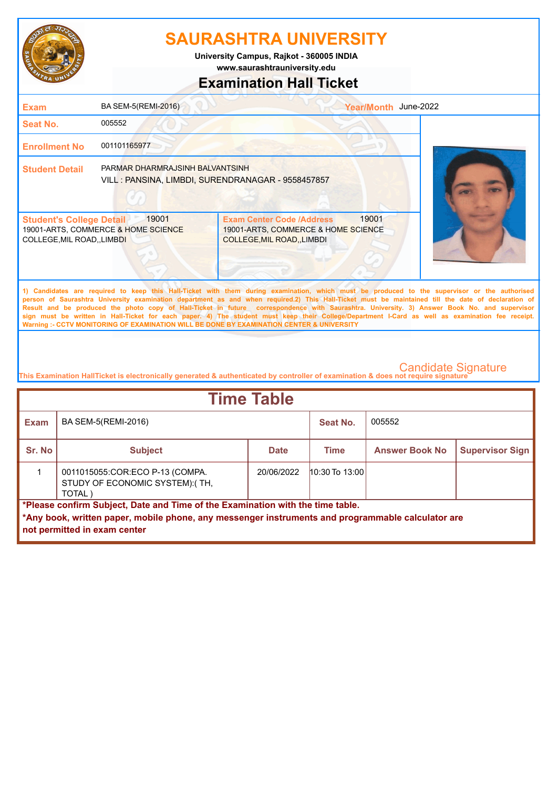

**University Campus, Rajkot - 360005 INDIA**

**www.saurashtrauniversity.edu**

### **Examination Hall Ticket**

| <b>Exam</b>                                                    | BA SEM-5(REMI-2016)                                                                   |                                                                                                                                                                                                                                                                                                                                                                                                                                                    | Year/Month June-2022 |  |
|----------------------------------------------------------------|---------------------------------------------------------------------------------------|----------------------------------------------------------------------------------------------------------------------------------------------------------------------------------------------------------------------------------------------------------------------------------------------------------------------------------------------------------------------------------------------------------------------------------------------------|----------------------|--|
| Seat No.                                                       | 005552                                                                                |                                                                                                                                                                                                                                                                                                                                                                                                                                                    |                      |  |
| <b>Enrollment No</b>                                           | 001101165977                                                                          |                                                                                                                                                                                                                                                                                                                                                                                                                                                    |                      |  |
| <b>Student Detail</b>                                          | PARMAR DHARMRAJSINH BALVANTSINH<br>VILL : PANSINA, LIMBDI, SURENDRANAGAR - 9558457857 |                                                                                                                                                                                                                                                                                                                                                                                                                                                    |                      |  |
| <b>Student's College Detail</b><br>COLLEGE, MIL ROAD, , LIMBDI | 19001<br>19001-ARTS, COMMERCE & HOME SCIENCE                                          | <b>Exam Center Code /Address</b><br>19001-ARTS, COMMERCE & HOME SCIENCE<br>COLLEGE, MIL ROAD, , LIMBDI                                                                                                                                                                                                                                                                                                                                             | 19001                |  |
|                                                                |                                                                                       | 1) Candidates are required to keep this Hall-Ticket with them during examination, which must be produced to the supervisor or the authorised<br>person of Saurashtra University examination department as and when required.2) This Hall-Ticket must be maintained till the date of declaration of<br>Result and be produced the photo copy of Hall-Ticket in future correspondence with Saurashtra. University, 3) Answer Book No. and supervisor |                      |  |

**Result and be produced the photo copy of Hall-Ticket in future correspondence with Saurashtra. University. 3) Answer Book No. and supervisor sign must be written in Hall-Ticket for each paper. 4) The student must keep their College/Department I-Card as well as examination fee receipt. Warning :- CCTV MONITORING OF EXAMINATION WILL BE DONE BY EXAMINATION CENTER & UNIVERSITY**

| <b>Time Table</b>                                                                                                                                                                                                   |                                                                               |             |                    |                       |                        |  |
|---------------------------------------------------------------------------------------------------------------------------------------------------------------------------------------------------------------------|-------------------------------------------------------------------------------|-------------|--------------------|-----------------------|------------------------|--|
| <b>Exam</b>                                                                                                                                                                                                         | BA SEM-5(REMI-2016)                                                           |             | Seat No.           | 005552                |                        |  |
| Sr. No                                                                                                                                                                                                              | <b>Subject</b>                                                                | <b>Date</b> | Time               | <b>Answer Book No</b> | <b>Supervisor Sign</b> |  |
|                                                                                                                                                                                                                     | 0011015055: COR: ECO P-13 (COMPA.<br>STUDY OF ECONOMIC SYSTEM):(TH,<br>TOTAL) | 20/06/2022  | $10:30$ To $13:00$ |                       |                        |  |
| *Please confirm Subject, Date and Time of the Examination with the time table.<br>*Any book, written paper, mobile phone, any messenger instruments and programmable calculator are<br>not permitted in exam center |                                                                               |             |                    |                       |                        |  |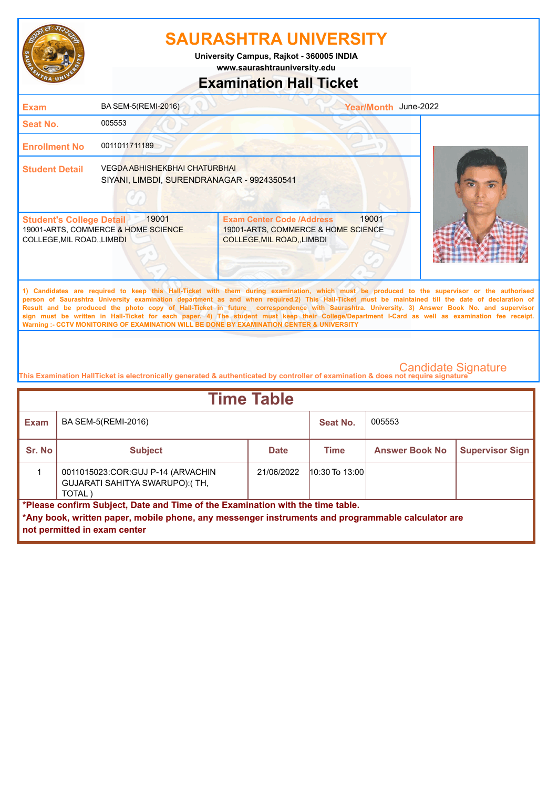

**University Campus, Rajkot - 360005 INDIA**

**www.saurashtrauniversity.edu**

### **Examination Hall Ticket**

| <b>Exam</b>                                                    | BA SEM-5(REMI-2016)                                                                | Year/Month June-2022                                                                                                                                                                                                                                                                                                                                                                                                                                                                                                                                                                                                                                                                                |  |
|----------------------------------------------------------------|------------------------------------------------------------------------------------|-----------------------------------------------------------------------------------------------------------------------------------------------------------------------------------------------------------------------------------------------------------------------------------------------------------------------------------------------------------------------------------------------------------------------------------------------------------------------------------------------------------------------------------------------------------------------------------------------------------------------------------------------------------------------------------------------------|--|
| Seat No.                                                       | 005553                                                                             |                                                                                                                                                                                                                                                                                                                                                                                                                                                                                                                                                                                                                                                                                                     |  |
| <b>Enrollment No</b>                                           | 0011011711189                                                                      |                                                                                                                                                                                                                                                                                                                                                                                                                                                                                                                                                                                                                                                                                                     |  |
| <b>Student Detail</b>                                          | <b>VEGDA ABHISHEKBHAI CHATURBHAI</b><br>SIYANI, LIMBDI, SURENDRANAGAR - 9924350541 |                                                                                                                                                                                                                                                                                                                                                                                                                                                                                                                                                                                                                                                                                                     |  |
| <b>Student's College Detail</b><br>COLLEGE, MIL ROAD, , LIMBDI | 19001<br>19001-ARTS, COMMERCE & HOME SCIENCE                                       | 19001<br><b>Exam Center Code /Address</b><br>19001-ARTS, COMMERCE & HOME SCIENCE<br><b>COLLEGE, MIL ROAD, LIMBDI</b>                                                                                                                                                                                                                                                                                                                                                                                                                                                                                                                                                                                |  |
|                                                                |                                                                                    | 1) Candidates are required to keep this Hall-Ticket with them during examination, which must be produced to the supervisor or the authorised<br>person of Saurashtra University examination department as and when required.2) This Hall-Ticket must be maintained till the date of declaration of<br>Result and be produced the photo copy of Hall-Ticket in future correspondence with Saurashtra. University. 3) Answer Book No. and supervisor<br>sign must be written in Hall-Ticket for each paper. 4) The student must keep their College/Department I-Card as well as examination fee receipt.<br>Warning :- CCTV MONITORING OF EXAMINATION WILL BE DONE BY EXAMINATION CENTER & UNIVERSITY |  |

| <b>Time Table</b>                                                                                                                                                                                                   |                                                                                 |             |                    |                       |                        |  |
|---------------------------------------------------------------------------------------------------------------------------------------------------------------------------------------------------------------------|---------------------------------------------------------------------------------|-------------|--------------------|-----------------------|------------------------|--|
| <b>Exam</b>                                                                                                                                                                                                         | BA SEM-5(REMI-2016)                                                             |             | Seat No.           | 005553                |                        |  |
| Sr. No                                                                                                                                                                                                              | <b>Subject</b>                                                                  | <b>Date</b> | <b>Time</b>        | <b>Answer Book No</b> | <b>Supervisor Sign</b> |  |
|                                                                                                                                                                                                                     | 0011015023: COR: GUJ P-14 (ARVACHIN<br>GUJARATI SAHITYA SWARUPO):(TH,<br>TOTAL) | 21/06/2022  | $10:30$ To $13:00$ |                       |                        |  |
| *Please confirm Subject, Date and Time of the Examination with the time table.<br>*Any book, written paper, mobile phone, any messenger instruments and programmable calculator are<br>not permitted in exam center |                                                                                 |             |                    |                       |                        |  |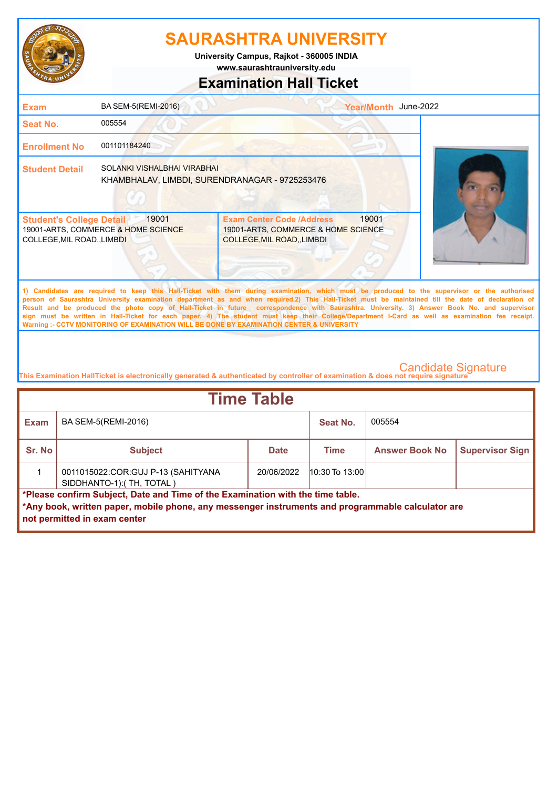

**www.saurashtrauniversity.edu University Campus, Rajkot - 360005 INDIA**

# **Examination Hall Ticket**

| <b>Exam</b>                                                                                                                                                                                                                                                                                                                                                                                                                                                                                                                                                                                                                                                                                         | BA SEM-5(REMI-2016)                                                           |                                                                                                        | Year/Month June-2022 |  |
|-----------------------------------------------------------------------------------------------------------------------------------------------------------------------------------------------------------------------------------------------------------------------------------------------------------------------------------------------------------------------------------------------------------------------------------------------------------------------------------------------------------------------------------------------------------------------------------------------------------------------------------------------------------------------------------------------------|-------------------------------------------------------------------------------|--------------------------------------------------------------------------------------------------------|----------------------|--|
| Seat No.                                                                                                                                                                                                                                                                                                                                                                                                                                                                                                                                                                                                                                                                                            | 005554                                                                        |                                                                                                        |                      |  |
| <b>Enrollment No</b>                                                                                                                                                                                                                                                                                                                                                                                                                                                                                                                                                                                                                                                                                | 001101184240                                                                  |                                                                                                        |                      |  |
| <b>Student Detail</b>                                                                                                                                                                                                                                                                                                                                                                                                                                                                                                                                                                                                                                                                               | SOLANKI VISHALBHAI VIRABHAI<br>KHAMBHALAV, LIMBDI, SURENDRANAGAR - 9725253476 |                                                                                                        |                      |  |
| <b>Student's College Detail</b><br>COLLEGE, MIL ROAD, , LIMBDI                                                                                                                                                                                                                                                                                                                                                                                                                                                                                                                                                                                                                                      | 19001<br>19001-ARTS, COMMERCE & HOME SCIENCE                                  | <b>Exam Center Code /Address</b><br>19001-ARTS, COMMERCE & HOME SCIENCE<br>COLLEGE, MIL ROAD, , LIMBDI | 19001                |  |
| 1) Candidates are required to keep this Hall-Ticket with them during examination, which must be produced to the supervisor or the authorised<br>person of Saurashtra University examination department as and when required.2) This Hall-Ticket must be maintained till the date of declaration of<br>Result and be produced the photo copy of Hall-Ticket in future correspondence with Saurashtra. University. 3) Answer Book No. and supervisor<br>sign must be written in Hall-Ticket for each paper. 4) The student must keep their College/Department I-Card as well as examination fee receipt.<br>Warning :- CCTV MONITORING OF EXAMINATION WILL BE DONE BY EXAMINATION CENTER & UNIVERSITY |                                                                               |                                                                                                        |                      |  |

| <b>Time Table</b>                                                              |                                                                                                                                   |             |                    |                       |                        |  |
|--------------------------------------------------------------------------------|-----------------------------------------------------------------------------------------------------------------------------------|-------------|--------------------|-----------------------|------------------------|--|
| <b>Exam</b>                                                                    | BA SEM-5(REMI-2016)                                                                                                               |             | Seat No.           | 005554                |                        |  |
| Sr. No                                                                         | <b>Subject</b>                                                                                                                    | <b>Date</b> | Time               | <b>Answer Book No</b> | <b>Supervisor Sign</b> |  |
|                                                                                | 0011015022: COR: GUJ P-13 (SAHITYANA<br>SIDDHANTO-1):(TH, TOTAL)                                                                  | 20/06/2022  | $10:30$ To $13:00$ |                       |                        |  |
| *Please confirm Subject, Date and Time of the Examination with the time table. |                                                                                                                                   |             |                    |                       |                        |  |
|                                                                                | *Any book, written paper, mobile phone, any messenger instruments and programmable calculator are<br>not permitted in exam center |             |                    |                       |                        |  |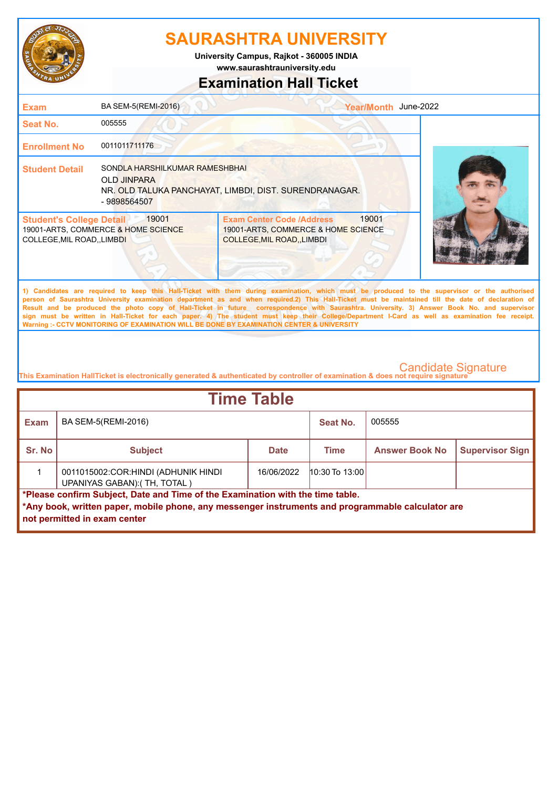

**www.saurashtrauniversity.edu University Campus, Rajkot - 360005 INDIA**

### **Examination Hall Ticket**

| <b>Exam</b>                                                                                                                                                                                                                                                                                                                                                                                                                                                                                                                                                                                                                                                                                         | BA SEM-5(REMI-2016)                                                                                                            |                                                                                                        | Year/Month June-2022 |  |  |
|-----------------------------------------------------------------------------------------------------------------------------------------------------------------------------------------------------------------------------------------------------------------------------------------------------------------------------------------------------------------------------------------------------------------------------------------------------------------------------------------------------------------------------------------------------------------------------------------------------------------------------------------------------------------------------------------------------|--------------------------------------------------------------------------------------------------------------------------------|--------------------------------------------------------------------------------------------------------|----------------------|--|--|
| Seat No.                                                                                                                                                                                                                                                                                                                                                                                                                                                                                                                                                                                                                                                                                            | 005555                                                                                                                         |                                                                                                        |                      |  |  |
| <b>Enrollment No</b>                                                                                                                                                                                                                                                                                                                                                                                                                                                                                                                                                                                                                                                                                | 0011011711176                                                                                                                  |                                                                                                        |                      |  |  |
| <b>Student Detail</b>                                                                                                                                                                                                                                                                                                                                                                                                                                                                                                                                                                                                                                                                               | SONDLA HARSHILKUMAR RAMESHBHAI<br><b>OLD JINPARA</b><br>NR. OLD TALUKA PANCHAYAT, LIMBDI, DIST. SURENDRANAGAR.<br>- 9898564507 |                                                                                                        |                      |  |  |
| 19001<br><b>Student's College Detail</b><br>19001-ARTS, COMMERCE & HOME SCIENCE<br>COLLEGE, MIL ROAD,, LIMBDI                                                                                                                                                                                                                                                                                                                                                                                                                                                                                                                                                                                       |                                                                                                                                | <b>Exam Center Code /Address</b><br>19001-ARTS, COMMERCE & HOME SCIENCE<br>COLLEGE, MIL ROAD, , LIMBDI | 19001                |  |  |
| 1) Candidates are required to keep this Hall-Ticket with them during examination, which must be produced to the supervisor or the authorised<br>person of Saurashtra University examination department as and when required.2) This Hall-Ticket must be maintained till the date of declaration of<br>Result and be produced the photo copy of Hall-Ticket in future correspondence with Saurashtra. University. 3) Answer Book No. and supervisor<br>sign must be written in Hall-Ticket for each paper. 4) The student must keep their College/Department I-Card as well as examination fee receipt.<br>Warning :- CCTV MONITORING OF EXAMINATION WILL BE DONE BY EXAMINATION CENTER & UNIVERSITY |                                                                                                                                |                                                                                                        |                      |  |  |
|                                                                                                                                                                                                                                                                                                                                                                                                                                                                                                                                                                                                                                                                                                     |                                                                                                                                |                                                                                                        |                      |  |  |

| <b>Time Table</b>                                                                                                                                                                                                   |                                                                     |             |                  |                       |                        |  |
|---------------------------------------------------------------------------------------------------------------------------------------------------------------------------------------------------------------------|---------------------------------------------------------------------|-------------|------------------|-----------------------|------------------------|--|
| Exam                                                                                                                                                                                                                | BA SEM-5(REMI-2016)                                                 |             | Seat No.         | 005555                |                        |  |
| Sr. No                                                                                                                                                                                                              | <b>Subject</b>                                                      | <b>Date</b> | <b>Time</b>      | <b>Answer Book No</b> | <b>Supervisor Sign</b> |  |
|                                                                                                                                                                                                                     | 0011015002:COR:HINDI (ADHUNIK HINDI<br>UPANIYAS GABAN): (TH, TOTAL) | 16/06/2022  | $10:30$ To 13:00 |                       |                        |  |
| *Please confirm Subject, Date and Time of the Examination with the time table.<br>*Any book, written paper, mobile phone, any messenger instruments and programmable calculator are<br>not permitted in exam center |                                                                     |             |                  |                       |                        |  |